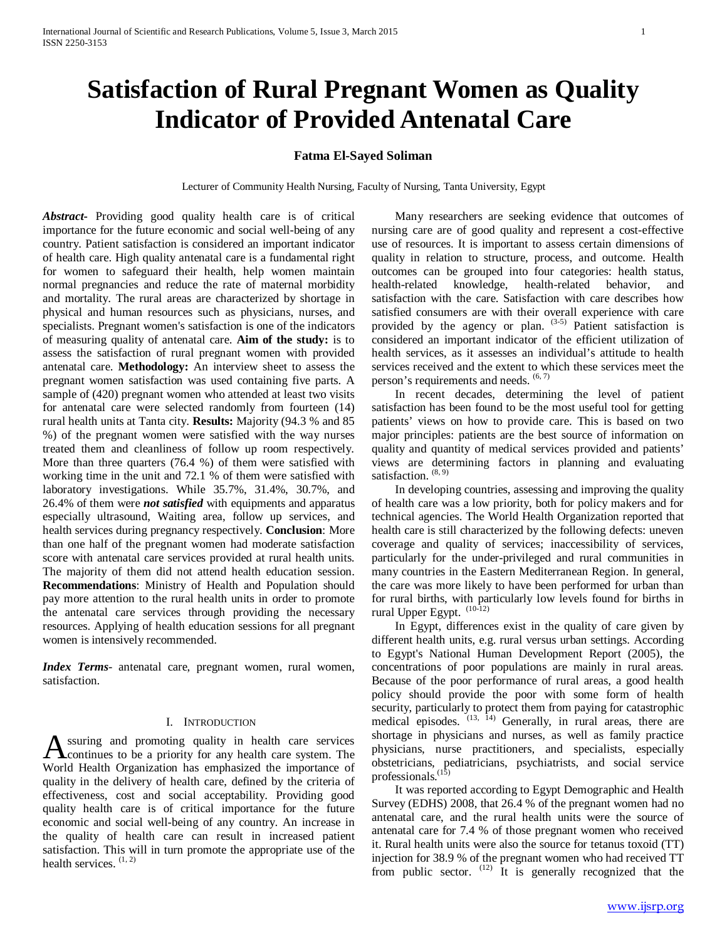# **Satisfaction of Rural Pregnant Women as Quality Indicator of Provided Antenatal Care**

## **Fatma El-Sayed Soliman**

Lecturer of Community Health Nursing, Faculty of Nursing, Tanta University, Egypt

*Abstract***-** Providing good quality health care is of critical importance for the future economic and social well-being of any country. Patient satisfaction is considered an important indicator of health care. High quality antenatal care is a fundamental right for women to safeguard their health, help women maintain normal pregnancies and reduce the rate of maternal morbidity and mortality. The rural areas are characterized by shortage in physical and human resources such as physicians, nurses, and specialists. Pregnant women's satisfaction is one of the indicators of measuring quality of antenatal care. **Aim of the study:** is to assess the satisfaction of rural pregnant women with provided antenatal care. **Methodology:** An interview sheet to assess the pregnant women satisfaction was used containing five parts. A sample of (420) pregnant women who attended at least two visits for antenatal care were selected randomly from fourteen (14) rural health units at Tanta city. **Results:** Majority (94.3 % and 85 %) of the pregnant women were satisfied with the way nurses treated them and cleanliness of follow up room respectively. More than three quarters (76.4 %) of them were satisfied with working time in the unit and 72.1 % of them were satisfied with laboratory investigations. While 35.7%, 31.4%, 30.7%, and 26.4% of them were *not satisfied* with equipments and apparatus especially ultrasound, Waiting area, follow up services, and health services during pregnancy respectively. **Conclusion**: More than one half of the pregnant women had moderate satisfaction score with antenatal care services provided at rural health units. The majority of them did not attend health education session. **Recommendations**: Ministry of Health and Population should pay more attention to the rural health units in order to promote the antenatal care services through providing the necessary resources. Applying of health education sessions for all pregnant women is intensively recommended.

*Index Terms*- antenatal care, pregnant women, rural women, satisfaction.

#### I. INTRODUCTION

ssuring and promoting quality in health care services **Continues to be a priority for any health care services**<br>We determine to be a priority for any health care system. The World Health Organization has emphasized the importance of quality in the delivery of health care, defined by the criteria of effectiveness, cost and social acceptability. Providing good quality health care is of critical importance for the future economic and social well-being of any country. An increase in the quality of health care can result in increased patient satisfaction. This will in turn promote the appropriate use of the health services.  $(1, 2)$ 

 Many researchers are seeking evidence that outcomes of nursing care are of good quality and represent a cost-effective use of resources. It is important to assess certain dimensions of quality in relation to structure, process, and outcome. Health outcomes can be grouped into four categories: health status, health-related knowledge, health-related behavior, and satisfaction with the care. Satisfaction with care describes how satisfied consumers are with their overall experience with care provided by the agency or plan.  $(3-5)$  Patient satisfaction is considered an important indicator of the efficient utilization of health services, as it assesses an individual's attitude to health services received and the extent to which these services meet the person's requirements and needs.  $(6, 7)$ 

 In recent decades, determining the level of patient satisfaction has been found to be the most useful tool for getting patients' views on how to provide care. This is based on two major principles: patients are the best source of information on quality and quantity of medical services provided and patients' views are determining factors in planning and evaluating satisfaction.  $(8, 9)$ 

 In developing countries, assessing and improving the quality of health care was a low priority, both for policy makers and for technical agencies. The World Health Organization reported that health care is still characterized by the following defects: uneven coverage and quality of services; inaccessibility of services, particularly for the under-privileged and rural communities in many countries in the Eastern Mediterranean Region. In general, the care was more likely to have been performed for urban than for rural births, with particularly low levels found for births in rural Upper Egypt.  $(10-12)$ 

 In Egypt, differences exist in the quality of care given by different health units, e.g. rural versus urban settings. According to Egypt's National Human Development Report (2005), the concentrations of poor populations are mainly in rural areas. Because of the poor performance of rural areas, a good health policy should provide the poor with some form of health security, particularly to protect them from paying for catastrophic medical episodes.  $(13, 14)$  Generally, in rural areas, there are shortage in physicians and nurses, as well as family practice physicians, nurse practitioners, and specialists, especially obstetricians, pediatricians, psychiatrists, and social service professionals.<sup>(15)</sup>

 It was reported according to Egypt Demographic and Health Survey (EDHS) 2008, that 26.4 % of the pregnant women had no antenatal care, and the rural health units were the source of antenatal care for 7.4 % of those pregnant women who received it. Rural health units were also the source for tetanus toxoid (TT) injection for 38.9 % of the pregnant women who had received TT from public sector.  $(12)$  It is generally recognized that the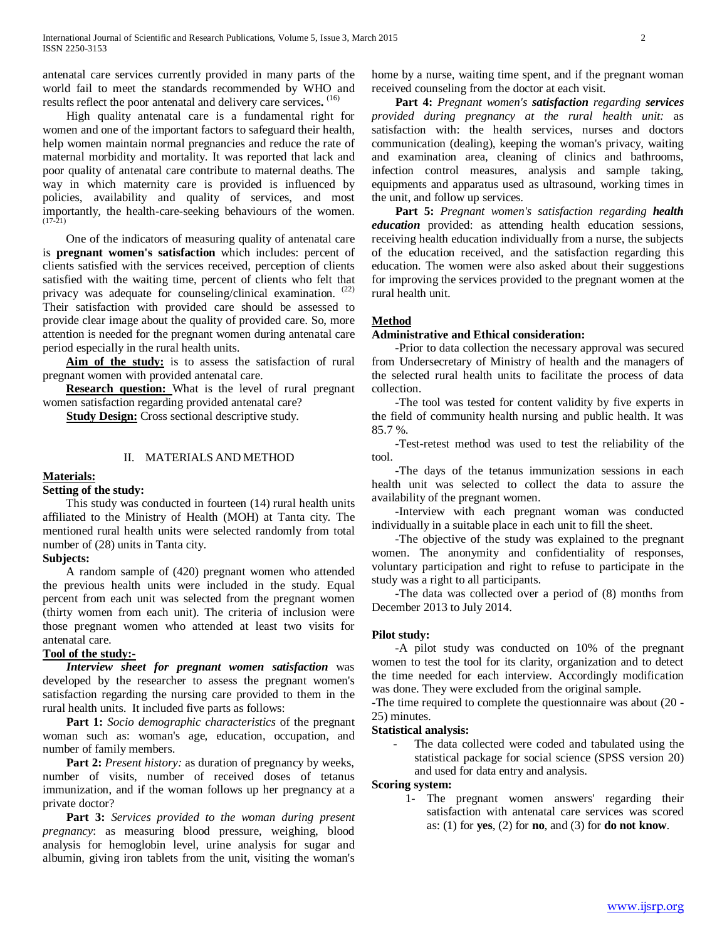antenatal care services currently provided in many parts of the world fail to meet the standards recommended by WHO and results reflect the poor antenatal and delivery care services**.** (16)

 High quality antenatal care is a fundamental right for women and one of the important factors to safeguard their health, help women maintain normal pregnancies and reduce the rate of maternal morbidity and mortality. It was reported that lack and poor quality of antenatal care contribute to maternal deaths. The way in which maternity care is provided is influenced by policies, availability and quality of services, and most importantly, the health-care-seeking behaviours of the women.  $(17-21)$ 

 One of the indicators of measuring quality of antenatal care is **pregnant women's satisfaction** which includes: percent of clients satisfied with the services received, perception of clients satisfied with the waiting time, percent of clients who felt that privacy was adequate for counseling/clinical examination. <sup>(22)</sup> Their satisfaction with provided care should be assessed to provide clear image about the quality of provided care. So, more attention is needed for the pregnant women during antenatal care period especially in the rural health units.

 **Aim of the study:** is to assess the satisfaction of rural pregnant women with provided antenatal care.

 **Research question:** What is the level of rural pregnant women satisfaction regarding provided antenatal care?

**Study Design:** Cross sectional descriptive study.

## II. MATERIALS AND METHOD

## **Materials:**

## **Setting of the study:**

 This study was conducted in fourteen (14) rural health units affiliated to the Ministry of Health (MOH) at Tanta city. The mentioned rural health units were selected randomly from total number of (28) units in Tanta city.

#### **Subjects:**

 A random sample of (420) pregnant women who attended the previous health units were included in the study. Equal percent from each unit was selected from the pregnant women (thirty women from each unit). The criteria of inclusion were those pregnant women who attended at least two visits for antenatal care.

## **Tool of the study:-**

 *Interview sheet for pregnant women satisfaction* was developed by the researcher to assess the pregnant women's satisfaction regarding the nursing care provided to them in the rural health units. It included five parts as follows:

 **Part 1:** *Socio demographic characteristics* of the pregnant woman such as: woman's age, education, occupation, and number of family members.

Part 2: Present history: as duration of pregnancy by weeks, number of visits, number of received doses of tetanus immunization, and if the woman follows up her pregnancy at a private doctor?

 **Part 3:** *Services provided to the woman during present pregnancy*: as measuring blood pressure, weighing, blood analysis for hemoglobin level, urine analysis for sugar and albumin, giving iron tablets from the unit, visiting the woman's home by a nurse, waiting time spent, and if the pregnant woman received counseling from the doctor at each visit.

 **Part 4:** *Pregnant women's satisfaction regarding services provided during pregnancy at the rural health unit:* as satisfaction with: the health services, nurses and doctors communication (dealing), keeping the woman's privacy, waiting and examination area, cleaning of clinics and bathrooms, infection control measures, analysis and sample taking, equipments and apparatus used as ultrasound, working times in the unit, and follow up services.

 **Part 5:** *Pregnant women's satisfaction regarding health education* provided: as attending health education sessions, receiving health education individually from a nurse, the subjects of the education received, and the satisfaction regarding this education. The women were also asked about their suggestions for improving the services provided to the pregnant women at the rural health unit.

## **Method**

#### **Administrative and Ethical consideration:**

 -Prior to data collection the necessary approval was secured from Undersecretary of Ministry of health and the managers of the selected rural health units to facilitate the process of data collection.

 -The tool was tested for content validity by five experts in the field of community health nursing and public health. It was 85.7 %.

 -Test-retest method was used to test the reliability of the tool.

 -The days of the tetanus immunization sessions in each health unit was selected to collect the data to assure the availability of the pregnant women.

 -Interview with each pregnant woman was conducted individually in a suitable place in each unit to fill the sheet.

 -The objective of the study was explained to the pregnant women. The anonymity and confidentiality of responses, voluntary participation and right to refuse to participate in the study was a right to all participants.

 -The data was collected over a period of (8) months from December 2013 to July 2014.

## **Pilot study:**

 -A pilot study was conducted on 10% of the pregnant women to test the tool for its clarity, organization and to detect the time needed for each interview. Accordingly modification was done. They were excluded from the original sample.

-The time required to complete the questionnaire was about (20 - 25) minutes.

## **Statistical analysis:**

The data collected were coded and tabulated using the statistical package for social science (SPSS version 20) and used for data entry and analysis.

**Scoring system:** 

1- The pregnant women answers' regarding their satisfaction with antenatal care services was scored as: (1) for **yes**, (2) for **no**, and (3) for **do not know**.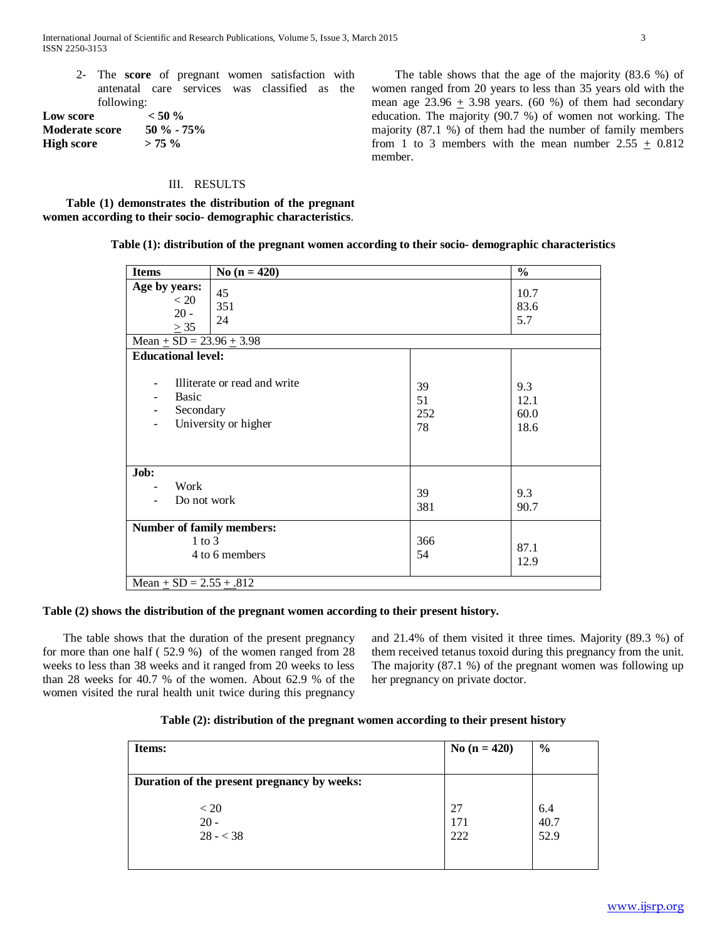2- The **score** of pregnant women satisfaction with antenatal care services was classified as the following:

**Low score**  $\leq 50\%$ <br>**Moderate score**  $\leq 50\%$  - 75% **Moderate score High score > 75 %**

#### III. RESULTS

 **Table (1) demonstrates the distribution of the pregnant women according to their socio- demographic characteristics**.

**Table (1): distribution of the pregnant women according to their socio- demographic characteristics**

member.

| <b>Items</b>                                                                      | No $(n = 420)$                                       |                       | $\frac{0}{0}$               |
|-----------------------------------------------------------------------------------|------------------------------------------------------|-----------------------|-----------------------------|
| Age by years:<br>< 20<br>$20 -$<br>$\geq$ 35<br>Mean $\pm$ SD = 23.96 $\pm$ 3.98  | 45<br>351<br>24                                      |                       | 10.7<br>83.6<br>5.7         |
| <b>Educational level:</b>                                                         |                                                      |                       |                             |
| <b>Basic</b><br>Secondary                                                         | Illiterate or read and write<br>University or higher | 39<br>51<br>252<br>78 | 9.3<br>12.1<br>60.0<br>18.6 |
| Job:<br>Work<br>Do not work                                                       |                                                      | 39<br>381             | 9.3<br>90.7                 |
| <b>Number of family members:</b><br>$1$ to $3$<br>Mean $\pm$ SD = 2.55 $\pm$ .812 | 4 to 6 members                                       | 366<br>54             | 87.1<br>12.9                |

#### **Table (2) shows the distribution of the pregnant women according to their present history.**

 The table shows that the duration of the present pregnancy for more than one half ( 52.9 %) of the women ranged from 28 weeks to less than 38 weeks and it ranged from 20 weeks to less than 28 weeks for 40.7 % of the women. About 62.9 % of the women visited the rural health unit twice during this pregnancy and 21.4% of them visited it three times. Majority (89.3 %) of them received tetanus toxoid during this pregnancy from the unit. The majority (87.1 %) of the pregnant women was following up her pregnancy on private doctor.

| Table (2): distribution of the pregnant women according to their present history |  |  |
|----------------------------------------------------------------------------------|--|--|
|                                                                                  |  |  |

| Items:                                      | No $(n = 420)$   | $\frac{6}{6}$       |
|---------------------------------------------|------------------|---------------------|
| Duration of the present pregnancy by weeks: |                  |                     |
| < 20<br>$20 -$<br>$28 - 38$                 | 27<br>171<br>222 | 6.4<br>40.7<br>52.9 |

 The table shows that the age of the majority (83.6 %) of women ranged from 20 years to less than 35 years old with the mean age  $23.96 + 3.98$  years. (60 %) of them had secondary education. The majority (90.7 %) of women not working. The majority (87.1 %) of them had the number of family members from 1 to 3 members with the mean number  $2.55 \pm 0.812$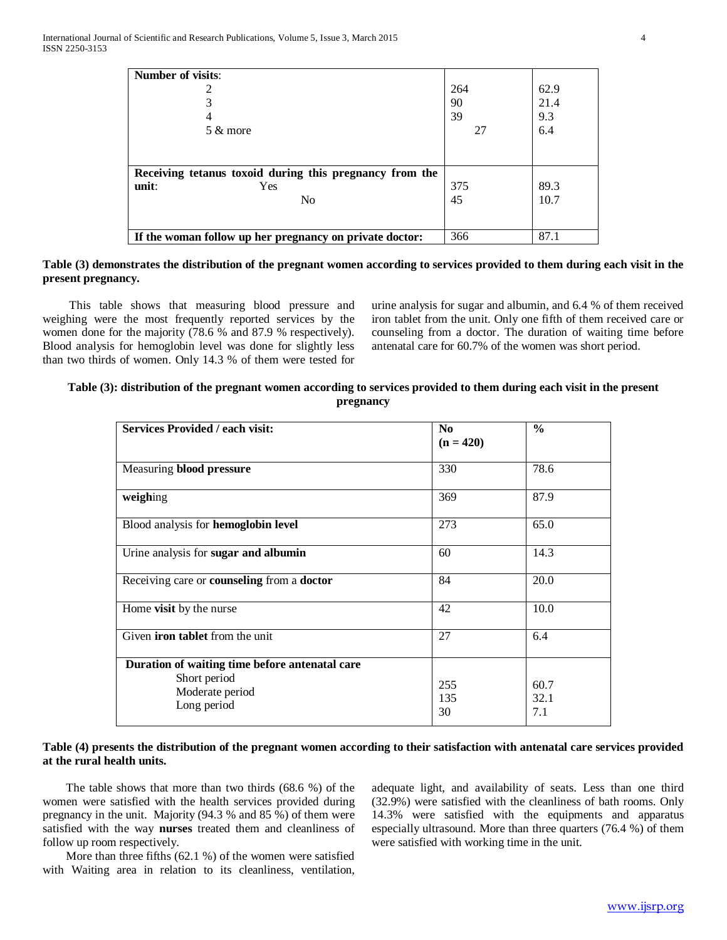| <b>Number of visits:</b>                                |     |      |
|---------------------------------------------------------|-----|------|
|                                                         | 264 | 62.9 |
| 3                                                       | 90  | 21.4 |
| 4                                                       | 39  | 9.3  |
| 5 & more                                                | 27  | 6.4  |
|                                                         |     |      |
|                                                         |     |      |
| Receiving tetanus toxoid during this pregnancy from the |     |      |
| unit:<br>Yes                                            | 375 | 89.3 |
| N <sub>0</sub>                                          | 45  | 10.7 |
|                                                         |     |      |
|                                                         |     |      |
| If the woman follow up her pregnancy on private doctor: | 366 | 87.1 |

## **Table (3) demonstrates the distribution of the pregnant women according to services provided to them during each visit in the present pregnancy.**

This table shows that measuring blood pressure and weighing were the most frequently reported services by the women done for the majority (78.6 % and 87.9 % respectively). Blood analysis for hemoglobin level was done for slightly less than two thirds of women. Only 14.3 % of them were tested for

urine analysis for sugar and albumin, and 6.4 % of them received iron tablet from the unit. Only one fifth of them received care or counseling from a doctor. The duration of waiting time before antenatal care for 60.7% of the women was short period.

| Table (3): distribution of the pregnant women according to services provided to them during each visit in the present |  |
|-----------------------------------------------------------------------------------------------------------------------|--|
| pregnancy                                                                                                             |  |

| <b>Services Provided / each visit:</b>                                                           | N <sub>o</sub><br>$(n = 420)$ | $\frac{0}{0}$       |
|--------------------------------------------------------------------------------------------------|-------------------------------|---------------------|
| Measuring blood pressure                                                                         | 330                           | 78.6                |
| weighing                                                                                         | 369                           | 87.9                |
| Blood analysis for hemoglobin level                                                              | 273                           | 65.0                |
| Urine analysis for sugar and albumin                                                             | 60                            | 14.3                |
| Receiving care or <b>counseling</b> from a <b>doctor</b>                                         | 84                            | 20.0                |
| Home visit by the nurse                                                                          | 42                            | 10.0                |
| Given <b>iron tablet</b> from the unit                                                           | 27                            | 6.4                 |
| Duration of waiting time before antenatal care<br>Short period<br>Moderate period<br>Long period | 255<br>135<br>30              | 60.7<br>32.1<br>7.1 |

## **Table (4) presents the distribution of the pregnant women according to their satisfaction with antenatal care services provided at the rural health units.**

 The table shows that more than two thirds (68.6 %) of the women were satisfied with the health services provided during pregnancy in the unit. Majority (94.3 % and 85 %) of them were satisfied with the way **nurses** treated them and cleanliness of follow up room respectively.

 More than three fifths (62.1 %) of the women were satisfied with Waiting area in relation to its cleanliness, ventilation, adequate light, and availability of seats. Less than one third (32.9%) were satisfied with the cleanliness of bath rooms. Only 14.3% were satisfied with the equipments and apparatus especially ultrasound. More than three quarters (76.4 %) of them were satisfied with working time in the unit.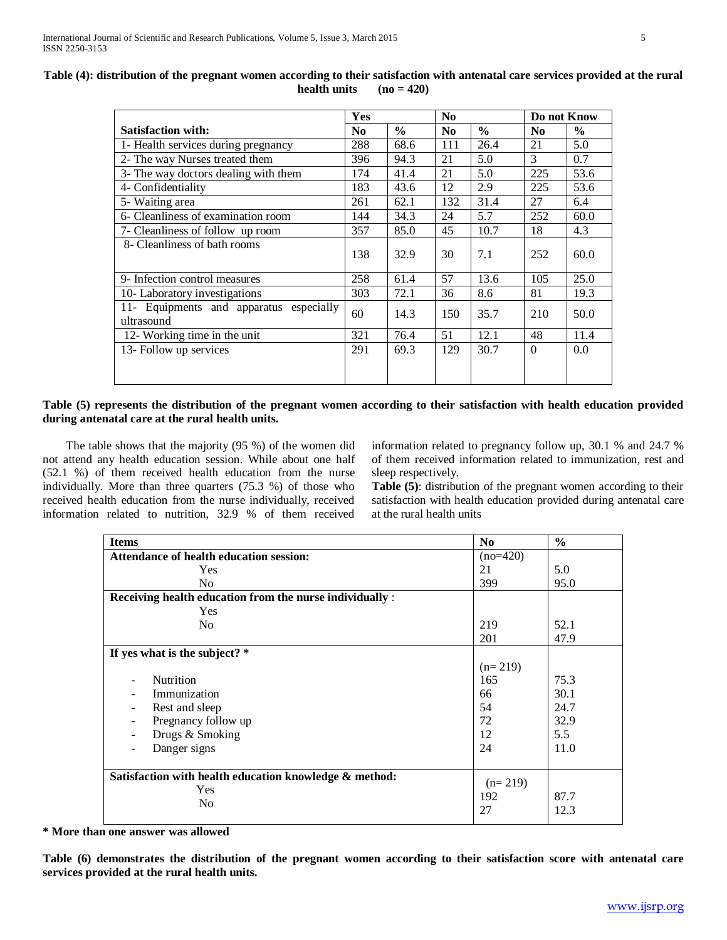| Table (4): distribution of the pregnant women according to their satisfaction with antenatal care services provided at the rural |  |
|----------------------------------------------------------------------------------------------------------------------------------|--|
| health units $(no = 420)$                                                                                                        |  |

|                                                       | Yes            |               | No             |               | Do not Know    |               |
|-------------------------------------------------------|----------------|---------------|----------------|---------------|----------------|---------------|
| <b>Satisfaction with:</b>                             | N <sub>0</sub> | $\frac{0}{0}$ | N <sub>0</sub> | $\frac{0}{0}$ | N <sub>0</sub> | $\frac{0}{0}$ |
| 1- Health services during pregnancy                   | 288            | 68.6          | 111            | 26.4          | 21             | 5.0           |
| 2- The way Nurses treated them                        | 396            | 94.3          | 21             | 5.0           | 3              | 0.7           |
| 3- The way doctors dealing with them                  | 174            | 41.4          | 21             | 5.0           | 225            | 53.6          |
| 4- Confidentiality                                    | 183            | 43.6          | 12             | 2.9           | 225            | 53.6          |
| 5- Waiting area                                       | 261            | 62.1          | 132            | 31.4          | 27             | 6.4           |
| 6- Cleanliness of examination room                    | 144            | 34.3          | 24             | 5.7           | 252            | 60.0          |
| 7- Cleanliness of follow up room                      | 357            | 85.0          | 45             | 10.7          | 18             | 4.3           |
| 8- Cleanliness of bath rooms                          | 138            | 32.9          | 30             | 7.1           | 252            | 60.0          |
| 9- Infection control measures                         | 258            | 61.4          | 57             | 13.6          | 105            | 25.0          |
| 10- Laboratory investigations                         | 303            | 72.1          | 36             | 8.6           | 81             | 19.3          |
| 11- Equipments and apparatus especially<br>ultrasound | 60             | 14.3          | 150            | 35.7          | 210            | 50.0          |
| 12- Working time in the unit                          | 321            | 76.4          | 51             | 12.1          | 48             | 11.4          |
| 13- Follow up services                                | 291            | 69.3          | 129            | 30.7          | $\Omega$       | 0.0           |
|                                                       |                |               |                |               |                |               |

## **Table (5) represents the distribution of the pregnant women according to their satisfaction with health education provided during antenatal care at the rural health units.**

 The table shows that the majority (95 %) of the women did not attend any health education session. While about one half (52.1 %) of them received health education from the nurse individually. More than three quarters (75.3 %) of those who received health education from the nurse individually, received information related to nutrition, 32.9 % of them received information related to pregnancy follow up, 30.1 % and 24.7 % of them received information related to immunization, rest and sleep respectively.

**Table (5)**: distribution of the pregnant women according to their satisfaction with health education provided during antenatal care at the rural health units

| <b>Items</b>                                             | N <sub>0</sub>   | $\frac{6}{6}$ |
|----------------------------------------------------------|------------------|---------------|
| <b>Attendance of health education session:</b>           | $(no=420)$       |               |
| <b>Yes</b>                                               | 21               | 5.0           |
| N <sub>o</sub>                                           | 399              | 95.0          |
| Receiving health education from the nurse individually : |                  |               |
| <b>Yes</b>                                               |                  |               |
| N <sub>o</sub>                                           | 219              | 52.1          |
|                                                          | 201              | 47.9          |
| If yes what is the subject? $*$                          |                  |               |
|                                                          | $(n=219)$        |               |
| <b>Nutrition</b>                                         | 165              | 75.3          |
| Immunization                                             | 66               | 30.1          |
| Rest and sleep                                           | 54               | 24.7          |
| Pregnancy follow up                                      | 72               | 32.9          |
| Drugs & Smoking                                          | 12               | 5.5           |
| Danger signs                                             | 24               | 11.0          |
|                                                          |                  |               |
| Satisfaction with health education knowledge & method:   |                  |               |
| Yes                                                      | $(n=219)$<br>192 | 87.7          |
| N <sub>0</sub>                                           |                  |               |
|                                                          | 27               | 12.3          |

## **\* More than one answer was allowed**

**Table (6) demonstrates the distribution of the pregnant women according to their satisfaction score with antenatal care services provided at the rural health units.**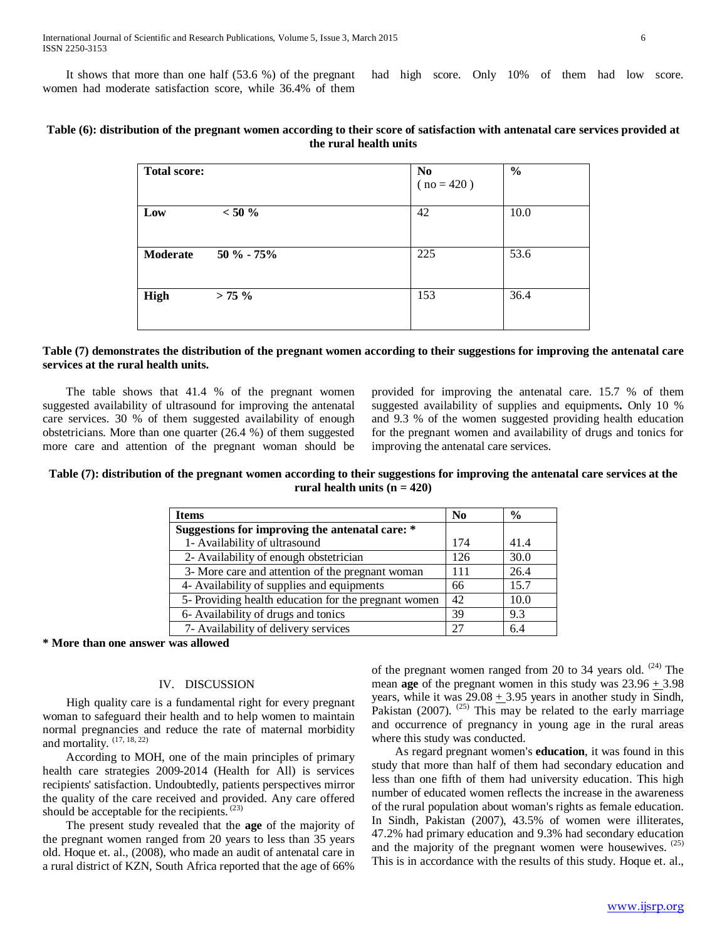It shows that more than one half (53.6 %) of the pregnant women had moderate satisfaction score, while 36.4% of them had high score. Only 10% of them had low score.

| Table (6): distribution of the pregnant women according to their score of satisfaction with antenatal care services provided at |
|---------------------------------------------------------------------------------------------------------------------------------|
| the rural health units                                                                                                          |

| <b>Total score:</b> |            | N <sub>0</sub><br>$(no = 420)$ | $\frac{0}{0}$ |
|---------------------|------------|--------------------------------|---------------|
| Low                 | $< 50 \%$  | 42                             | 10.0          |
| <b>Moderate</b>     | 50 % - 75% | 225                            | 53.6          |
| High                | $> 75 \%$  | 153                            | 36.4          |

## **Table (7) demonstrates the distribution of the pregnant women according to their suggestions for improving the antenatal care services at the rural health units.**

 The table shows that 41.4 % of the pregnant women suggested availability of ultrasound for improving the antenatal care services. 30 % of them suggested availability of enough obstetricians. More than one quarter (26.4 %) of them suggested more care and attention of the pregnant woman should be

provided for improving the antenatal care. 15.7 % of them suggested availability of supplies and equipments**.** Only 10 % and 9.3 % of the women suggested providing health education for the pregnant women and availability of drugs and tonics for improving the antenatal care services.

## **Table (7): distribution of the pregnant women according to their suggestions for improving the antenatal care services at the** rural health units  $(n = 420)$

| <b>Items</b>                                         | $\mathbf{N_0}$ | $\frac{6}{6}$ |
|------------------------------------------------------|----------------|---------------|
| Suggestions for improving the antenatal care: *      |                |               |
| 1- Availability of ultrasound                        | 174            | 41.4          |
| 2- Availability of enough obstetrician               | 126            | 30.0          |
| 3- More care and attention of the pregnant woman     | 111            | 26.4          |
| 4- Availability of supplies and equipments           | 66             | 15.7          |
| 5- Providing health education for the pregnant women | 42             | 10.0          |
| 6- Availability of drugs and tonics                  | 39             | 9.3           |
| 7- Availability of delivery services                 | 27             | 6.4           |

**\* More than one answer was allowed**

## IV. DISCUSSION

 High quality care is a fundamental right for every pregnant woman to safeguard their health and to help women to maintain normal pregnancies and reduce the rate of maternal morbidity and mortality. <sup>(17, 18, 22)</sup>

 According to MOH, one of the main principles of primary health care strategies 2009-2014 (Health for All) is services recipients' satisfaction. Undoubtedly, patients perspectives mirror the quality of the care received and provided. Any care offered should be acceptable for the recipients.<sup>(23)</sup>

 The present study revealed that the **age** of the majority of the pregnant women ranged from 20 years to less than 35 years old. Hoque et. al., (2008), who made an audit of antenatal care in a rural district of KZN, South Africa reported that the age of 66%

of the pregnant women ranged from 20 to 34 years old. <sup>(24)</sup> The mean **age** of the pregnant women in this study was  $23.96 + 3.98$ years, while it was  $29.08 + 3.95$  years in another study in Sindh, Pakistan (2007).<sup>(25)</sup> This may be related to the early marriage and occurrence of pregnancy in young age in the rural areas where this study was conducted.

 As regard pregnant women's **education**, it was found in this study that more than half of them had secondary education and less than one fifth of them had university education. This high number of educated women reflects the increase in the awareness of the rural population about woman's rights as female education. In Sindh, Pakistan (2007), 43.5% of women were illiterates, 47.2% had primary education and 9.3% had secondary education and the majority of the pregnant women were housewives.<sup>(25)</sup> This is in accordance with the results of this study. Hoque et. al.,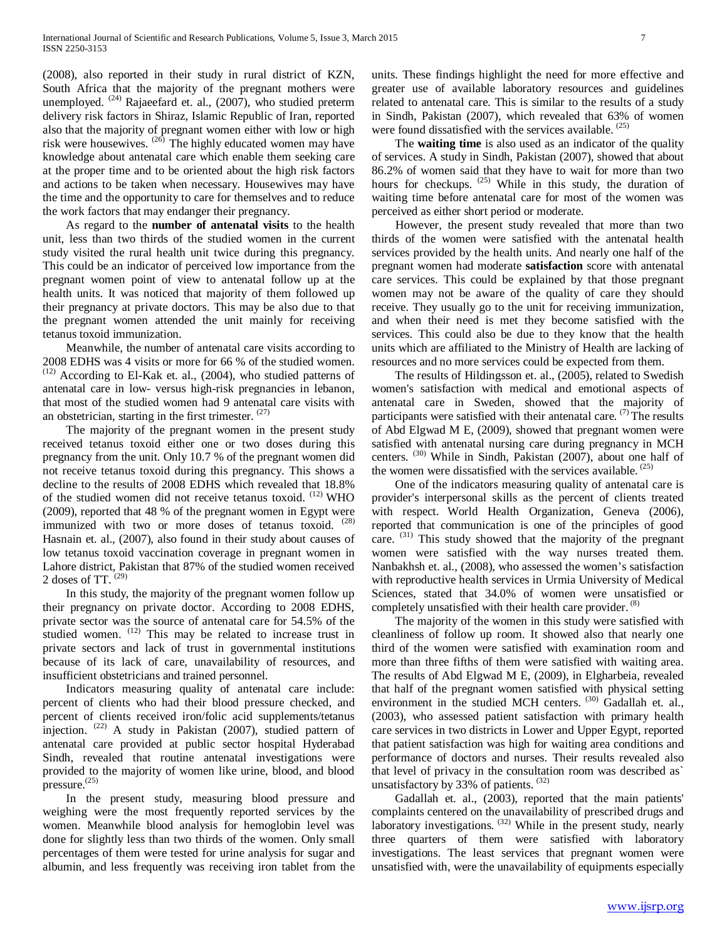(2008), also reported in their study in rural district of KZN, South Africa that the majority of the pregnant mothers were unemployed.  $(24)$  Rajaeefard et. al., (2007), who studied preterm delivery risk factors in Shiraz, Islamic Republic of Iran, reported also that the majority of pregnant women either with low or high risk were housewives. (26) The highly educated women may have knowledge about antenatal care which enable them seeking care at the proper time and to be oriented about the high risk factors and actions to be taken when necessary. Housewives may have the time and the opportunity to care for themselves and to reduce the work factors that may endanger their pregnancy.

 As regard to the **number of antenatal visits** to the health unit, less than two thirds of the studied women in the current study visited the rural health unit twice during this pregnancy. This could be an indicator of perceived low importance from the pregnant women point of view to antenatal follow up at the health units. It was noticed that majority of them followed up their pregnancy at private doctors. This may be also due to that the pregnant women attended the unit mainly for receiving tetanus toxoid immunization.

 Meanwhile, the number of antenatal care visits according to 2008 EDHS was 4 visits or more for 66 % of the studied women. (12) According to El-Kak et. al., (2004), who studied patterns of antenatal care in low- versus high-risk pregnancies in lebanon, that most of the studied women had 9 antenatal care visits with an obstetrician, starting in the first trimester.  $(27)$ 

 The majority of the pregnant women in the present study received tetanus toxoid either one or two doses during this pregnancy from the unit. Only 10.7 % of the pregnant women did not receive tetanus toxoid during this pregnancy. This shows a decline to the results of 2008 EDHS which revealed that 18.8% of the studied women did not receive tetanus toxoid. <sup>(12)</sup> WHO (2009), reported that 48 % of the pregnant women in Egypt were immunized with two or more doses of tetanus toxoid. <sup>(28)</sup> Hasnain et. al., (2007), also found in their study about causes of low tetanus toxoid vaccination coverage in pregnant women in Lahore district, Pakistan that 87% of the studied women received 2 doses of TT. (29)

 In this study, the majority of the pregnant women follow up their pregnancy on private doctor. According to 2008 EDHS, private sector was the source of antenatal care for 54.5% of the studied women.  $(12)$  This may be related to increase trust in private sectors and lack of trust in governmental institutions because of its lack of care, unavailability of resources, and insufficient obstetricians and trained personnel.

 Indicators measuring quality of antenatal care include: percent of clients who had their blood pressure checked, and percent of clients received iron/folic acid supplements/tetanus injection. <sup>(22)</sup> A study in Pakistan (2007), studied pattern of antenatal care provided at public sector hospital Hyderabad Sindh, revealed that routine antenatal investigations were provided to the majority of women like urine, blood, and blood pressure.<sup>(25)</sup>

 In the present study, measuring blood pressure and weighing were the most frequently reported services by the women. Meanwhile blood analysis for hemoglobin level was done for slightly less than two thirds of the women. Only small percentages of them were tested for urine analysis for sugar and albumin, and less frequently was receiving iron tablet from the units. These findings highlight the need for more effective and greater use of available laboratory resources and guidelines related to antenatal care. This is similar to the results of a study in Sindh, Pakistan (2007), which revealed that 63% of women were found dissatisfied with the services available. (25)

 The **waiting time** is also used as an indicator of the quality of services. A study in Sindh, Pakistan (2007), showed that about 86.2% of women said that they have to wait for more than two hours for checkups.  $(25)$  While in this study, the duration of waiting time before antenatal care for most of the women was perceived as either short period or moderate.

 However, the present study revealed that more than two thirds of the women were satisfied with the antenatal health services provided by the health units. And nearly one half of the pregnant women had moderate **satisfaction** score with antenatal care services. This could be explained by that those pregnant women may not be aware of the quality of care they should receive. They usually go to the unit for receiving immunization, and when their need is met they become satisfied with the services. This could also be due to they know that the health units which are affiliated to the Ministry of Health are lacking of resources and no more services could be expected from them.

 The results of Hildingsson et. al., (2005), related to Swedish women's satisfaction with medical and emotional aspects of antenatal care in Sweden, showed that the majority of participants were satisfied with their antenatal care.  $(7)$  The results of Abd Elgwad M E, (2009), showed that pregnant women were satisfied with antenatal nursing care during pregnancy in MCH centers. (30) While in Sindh, Pakistan (2007), about one half of the women were dissatisfied with the services available. <sup>(25)</sup>

 One of the indicators measuring quality of antenatal care is provider's interpersonal skills as the percent of clients treated with respect. World Health Organization, Geneva (2006), reported that communication is one of the principles of good care. (31) This study showed that the majority of the pregnant women were satisfied with the way nurses treated them. Nanbakhsh et. al., (2008), who assessed the women's satisfaction with reproductive health services in Urmia University of Medical Sciences*,* stated that 34.0% of women were unsatisfied or completely unsatisfied with their health care provider. <sup>(8)</sup>

 The majority of the women in this study were satisfied with cleanliness of follow up room. It showed also that nearly one third of the women were satisfied with examination room and more than three fifths of them were satisfied with waiting area. The results of Abd Elgwad M E, (2009), in Elgharbeia, revealed that half of the pregnant women satisfied with physical setting environment in the studied MCH centers. <sup>(30)</sup> Gadallah et. al., (2003), who assessed patient satisfaction with primary health care services in two districts in Lower and Upper Egypt, reported that patient satisfaction was high for waiting area conditions and performance of doctors and nurses. Their results revealed also that level of privacy in the consultation room was described as` unsatisfactory by 33% of patients. <sup>(32)</sup>

 Gadallah et. al., (2003), reported that the main patients' complaints centered on the unavailability of prescribed drugs and laboratory investigations. <sup>(32)</sup> While in the present study, nearly three quarters of them were satisfied with laboratory investigations. The least services that pregnant women were unsatisfied with, were the unavailability of equipments especially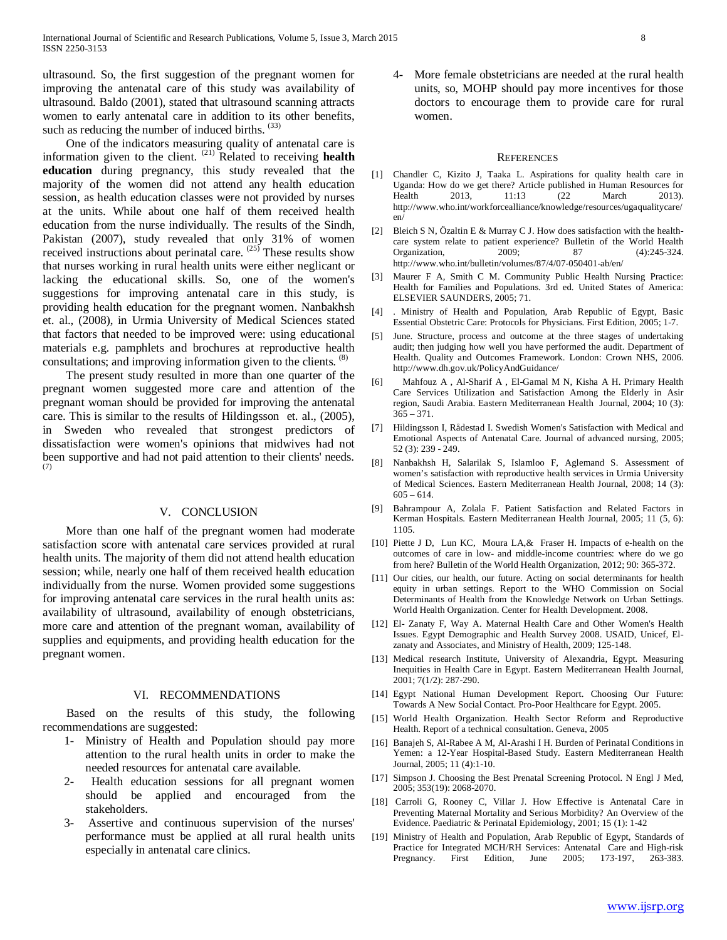ultrasound. So, the first suggestion of the pregnant women for improving the antenatal care of this study was availability of ultrasound. Baldo (2001), stated that ultrasound scanning attracts women to early antenatal care in addition to its other benefits, such as reducing the number of induced births. (33)

 One of the indicators measuring quality of antenatal care is information given to the client. <sup>(21)</sup> Related to receiving health **education** during pregnancy, this study revealed that the majority of the women did not attend any health education session, as health education classes were not provided by nurses at the units. While about one half of them received health education from the nurse individually. The results of the Sindh, Pakistan (2007), study revealed that only 31% of women received instructions about perinatal care. <sup>(25)</sup> These results show that nurses working in rural health units were either neglicant or lacking the educational skills. So, one of the women's suggestions for improving antenatal care in this study, is providing health education for the pregnant women. Nanbakhsh et. al., (2008), in Urmia University of Medical Sciences stated that factors that needed to be improved were: using educational materials e.g. pamphlets and brochures at reproductive health consultations; and improving information given to the clients. <sup>(8)</sup>

 The present study resulted in more than one quarter of the pregnant women suggested more care and attention of the pregnant woman should be provided for improving the antenatal care. This is similar to the results of Hildingsson et. al., (2005), in Sweden who revealed that strongest predictors of dissatisfaction were women's opinions that midwives had not been supportive and had not paid attention to their clients' needs. (7)

### V. CONCLUSION

 More than one half of the pregnant women had moderate satisfaction score with antenatal care services provided at rural health units. The majority of them did not attend health education session; while, nearly one half of them received health education individually from the nurse. Women provided some suggestions for improving antenatal care services in the rural health units as: availability of ultrasound, availability of enough obstetricians, more care and attention of the pregnant woman, availability of supplies and equipments, and providing health education for the pregnant women.

#### VI. RECOMMENDATIONS

 Based on the results of this study, the following recommendations are suggested:

- 1- Ministry of Health and Population should pay more attention to the rural health units in order to make the needed resources for antenatal care available.
- 2- Health education sessions for all pregnant women should be applied and encouraged from the stakeholders.
- 3- Assertive and continuous supervision of the nurses' performance must be applied at all rural health units especially in antenatal care clinics.

4- More female obstetricians are needed at the rural health units, so, MOHP should pay more incentives for those doctors to encourage them to provide care for rural women.

#### **REFERENCES**

- [1] Chandler C, Kizito J, Taaka L. Aspirations for quality health care in Uganda: How do we get there? Article published in Human Resources for Health 2013, 11:13 (22 March 2013). Health 2013, 11:13 (22 March 2013). http://www.who.int/workforcealliance/knowledge/resources/ugaqualitycare/ en/
- [2] Bleich S N, Özaltin E & Murray C J. How does satisfaction with the healthcare system relate to patient experience? Bulletin of the World Health<br>Organization. 2009: 87 (4):245-324. Organization, 2009; 87 http://www.who.int/bulletin/volumes/87/4/07-050401-ab/en/
- [3] Maurer F A, Smith C M. Community Public Health Nursing Practice: Health for Families and Populations. 3rd ed. United States of America: ELSEVIER SAUNDERS, 2005; 71.
- [4] . Ministry of Health and Population, Arab Republic of Egypt, Basic Essential Obstetric Care: Protocols for Physicians. First Edition, 2005; 1-7.
- [5] June. Structure, process and outcome at the three stages of undertaking audit; then judging how well you have performed the audit. Department of Health. Quality and Outcomes Framework. London: Crown NHS, 2006. http://www.dh.gov.uk/PolicyAndGuidance/
- [6] Mahfouz A , Al-Sharif A , El-Gamal M N, Kisha A H. Primary Health Care Services Utilization and Satisfaction Among the Elderly in Asir region, Saudi Arabia. Eastern Mediterranean Health Journal, 2004; 10 (3):  $365 - 371.$
- [7] Hildingsson I, Rådestad I. Swedish Women's Satisfaction with Medical and Emotional Aspects of Antenatal Care. Journal of advanced nursing, 2005; 52 (3): 239 - 249.
- [8] Nanbakhsh H, Salarilak S, Islamloo F, Aglemand S. Assessment of women's satisfaction with reproductive health services in Urmia University of Medical Sciences. Eastern Mediterranean Health Journal, 2008; 14 (3):  $605 - 614.$
- [9] Bahrampour A, Zolala F. Patient Satisfaction and Related Factors in Kerman Hospitals. Eastern Mediterranean Health Journal, 2005; 11 (5, 6): 1105.
- [10] Piette J D, Lun KC, Moura LA,& Fraser H. Impacts of e-health on the outcomes of care in low- and middle-income countries: where do we go from here? Bulletin of the World Health Organization, 2012; 90: 365-372.
- [11] Our cities, our health, our future. Acting on social determinants for health equity in urban settings. Report to the WHO Commission on Social Determinants of Health from the Knowledge Network on Urban Settings. World Health Organization. Center for Health Development. 2008.
- [12] El- Zanaty F, Way A. Maternal Health Care and Other Women's Health Issues. Egypt Demographic and Health Survey 2008. USAID, Unicef, Elzanaty and Associates, and Ministry of Health, 2009; 125-148.
- [13] Medical research Institute, University of Alexandria, Egypt. Measuring Inequities in Health Care in Egypt. Eastern Mediterranean Health Journal, 2001; 7(1/2): 287-290.
- [14] Egypt National Human Development Report. Choosing Our Future: Towards A New Social Contact. Pro-Poor Healthcare for Egypt. 2005.
- [15] World Health Organization. Health Sector Reform and Reproductive Health. Report of a technical consultation. Geneva, 2005
- [16] Banajeh S, Al-Rabee A M, Al-Arashi I H. Burden of Perinatal Conditions in Yemen: a 12-Year Hospital-Based Study. Eastern Mediterranean Health Journal, 2005; 11 (4):1-10.
- [17] Simpson J. Choosing the Best Prenatal Screening Protocol. N Engl J Med, 2005; 353(19): 2068-2070.
- [18] Carroli G, Rooney C, Villar J. How Effective is Antenatal Care in Preventing Maternal Mortality and Serious Morbidity? An Overview of the Evidence. Paediatric & Perinatal Epidemiology, 2001; 15 (1): 1-42
- [19] Ministry of Health and Population, Arab Republic of Egypt, Standards of Practice for Integrated MCH/RH Services: Antenatal Care and High-risk Pregnancy. First Edition, June 2005; 173-197, 263-383.